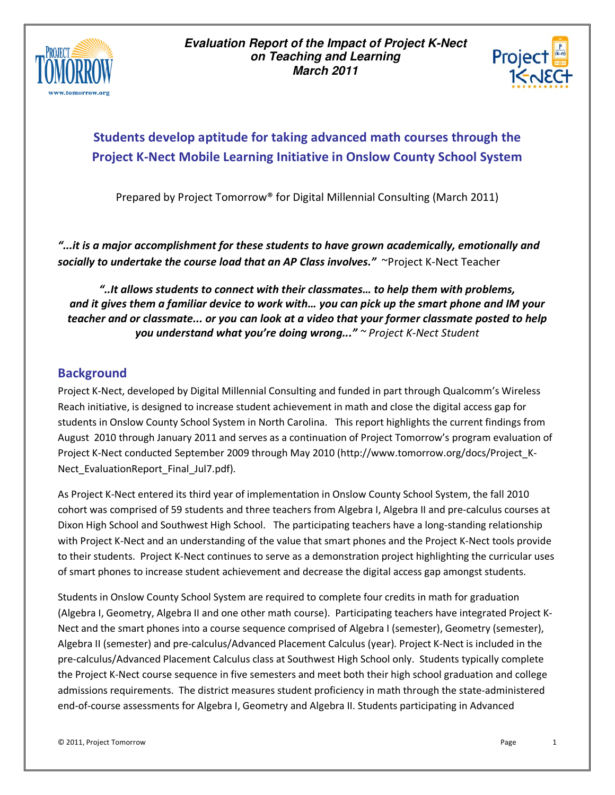



# **Students develop aptitude for taking advanced math courses through the Project K-Nect Mobile Learning Initiative in Onslow County School System**

Prepared by Project Tomorrow® for Digital Millennial Consulting (March 2011)

*"...it is a major accomplishment for these students to have grown academically, emotionally and socially to undertake the course load that an AP Class involves."* ~Project K-Nect Teacher

*"..It allows students to connect with their classmates… to help them with problems, and it gives them a familiar device to work with… you can pick up the smart phone and IM your teacher and or classmate... or you can look at a video that your former classmate posted to help you understand what you're doing wrong..." ~ Project K-Nect Student* 

# **Background**

Project K-Nect, developed by Digital Millennial Consulting and funded in part through Qualcomm's Wireless Reach initiative, is designed to increase student achievement in math and close the digital access gap for students in Onslow County School System in North Carolina. This report highlights the current findings from August 2010 through January 2011 and serves as a continuation of Project Tomorrow's program evaluation of Project K-Nect conducted September 2009 through May 2010 (http://www.tomorrow.org/docs/Project\_K-Nect\_EvaluationReport\_Final\_Jul7.pdf).

As Project K-Nect entered its third year of implementation in Onslow County School System, the fall 2010 cohort was comprised of 59 students and three teachers from Algebra I, Algebra II and pre-calculus courses at Dixon High School and Southwest High School. The participating teachers have a long-standing relationship with Project K-Nect and an understanding of the value that smart phones and the Project K-Nect tools provide to their students. Project K-Nect continues to serve as a demonstration project highlighting the curricular uses of smart phones to increase student achievement and decrease the digital access gap amongst students.

Students in Onslow County School System are required to complete four credits in math for graduation (Algebra I, Geometry, Algebra II and one other math course). Participating teachers have integrated Project K-Nect and the smart phones into a course sequence comprised of Algebra I (semester), Geometry (semester), Algebra II (semester) and pre-calculus/Advanced Placement Calculus (year). Project K-Nect is included in the pre-calculus/Advanced Placement Calculus class at Southwest High School only. Students typically complete the Project K-Nect course sequence in five semesters and meet both their high school graduation and college admissions requirements. The district measures student proficiency in math through the state-administered end-of-course assessments for Algebra I, Geometry and Algebra II. Students participating in Advanced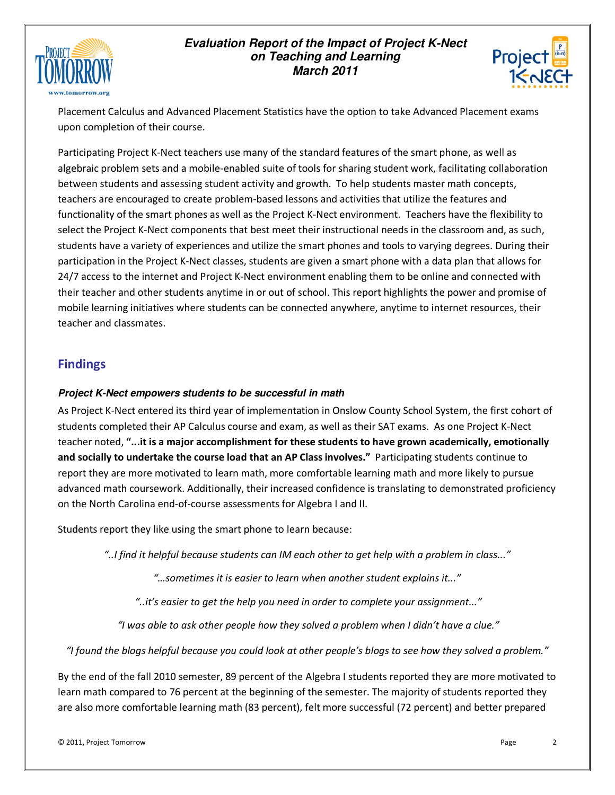



Placement Calculus and Advanced Placement Statistics have the option to take Advanced Placement exams upon completion of their course.

Participating Project K-Nect teachers use many of the standard features of the smart phone, as well as algebraic problem sets and a mobile-enabled suite of tools for sharing student work, facilitating collaboration between students and assessing student activity and growth. To help students master math concepts, teachers are encouraged to create problem-based lessons and activities that utilize the features and functionality of the smart phones as well as the Project K-Nect environment. Teachers have the flexibility to select the Project K-Nect components that best meet their instructional needs in the classroom and, as such, students have a variety of experiences and utilize the smart phones and tools to varying degrees. During their participation in the Project K-Nect classes, students are given a smart phone with a data plan that allows for 24/7 access to the internet and Project K-Nect environment enabling them to be online and connected with their teacher and other students anytime in or out of school. This report highlights the power and promise of mobile learning initiatives where students can be connected anywhere, anytime to internet resources, their teacher and classmates.

# **Findings**

#### **Project K-Nect empowers students to be successful in math**

As Project K-Nect entered its third year of implementation in Onslow County School System, the first cohort of students completed their AP Calculus course and exam, as well as their SAT exams. As one Project K-Nect teacher noted, **"...it is a major accomplishment for these students to have grown academically, emotionally and socially to undertake the course load that an AP Class involves."** Participating students continue to report they are more motivated to learn math, more comfortable learning math and more likely to pursue advanced math coursework. Additionally, their increased confidence is translating to demonstrated proficiency on the North Carolina end-of-course assessments for Algebra I and II.

Students report they like using the smart phone to learn because:

*"..I find it helpful because students can IM each other to get help with a problem in class..."* 

*"…sometimes it is easier to learn when another student explains it..."* 

 *"..it's easier to get the help you need in order to complete your assignment..."* 

 *"I was able to ask other people how they solved a problem when I didn't have a clue."* 

*"I found the blogs helpful because you could look at other people's blogs to see how they solved a problem."* 

By the end of the fall 2010 semester, 89 percent of the Algebra I students reported they are more motivated to learn math compared to 76 percent at the beginning of the semester. The majority of students reported they are also more comfortable learning math (83 percent), felt more successful (72 percent) and better prepared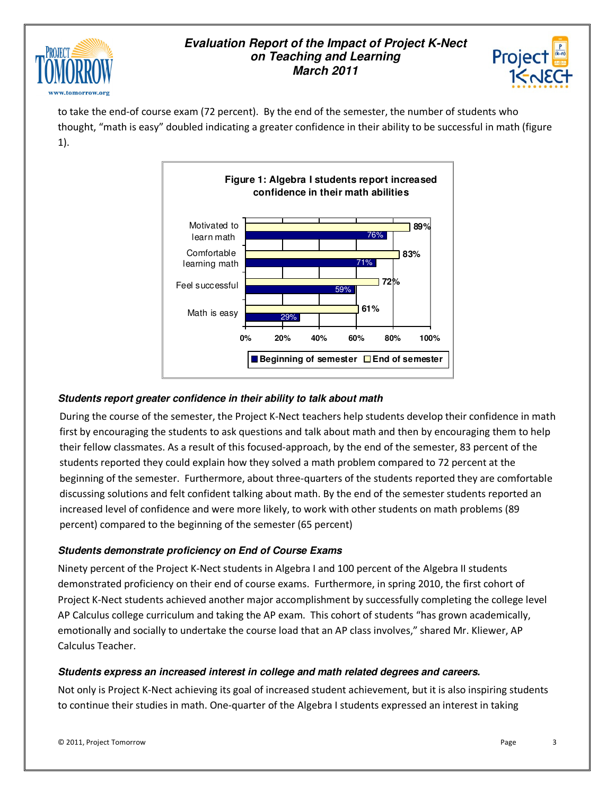



to take the end-of course exam (72 percent). By the end of the semester, the number of students who thought, "math is easy" doubled indicating a greater confidence in their ability to be successful in math (figure 1).



#### **Students report greater confidence in their ability to talk about math**

During the course of the semester, the Project K-Nect teachers help students develop their confidence in math first by encouraging the students to ask questions and talk about math and then by encouraging them to help their fellow classmates. As a result of this focused-approach, by the end of the semester, 83 percent of the students reported they could explain how they solved a math problem compared to 72 percent at the beginning of the semester. Furthermore, about three-quarters of the students reported they are comfortable discussing solutions and felt confident talking about math. By the end of the semester students reported an increased level of confidence and were more likely, to work with other students on math problems (89 percent) compared to the beginning of the semester (65 percent)

#### **Students demonstrate proficiency on End of Course Exams**

Ninety percent of the Project K-Nect students in Algebra I and 100 percent of the Algebra II students demonstrated proficiency on their end of course exams. Furthermore, in spring 2010, the first cohort of Project K-Nect students achieved another major accomplishment by successfully completing the college level AP Calculus college curriculum and taking the AP exam. This cohort of students "has grown academically, emotionally and socially to undertake the course load that an AP class involves," shared Mr. Kliewer, AP Calculus Teacher.

#### **Students express an increased interest in college and math related degrees and careers.**

Not only is Project K-Nect achieving its goal of increased student achievement, but it is also inspiring students to continue their studies in math. One-quarter of the Algebra I students expressed an interest in taking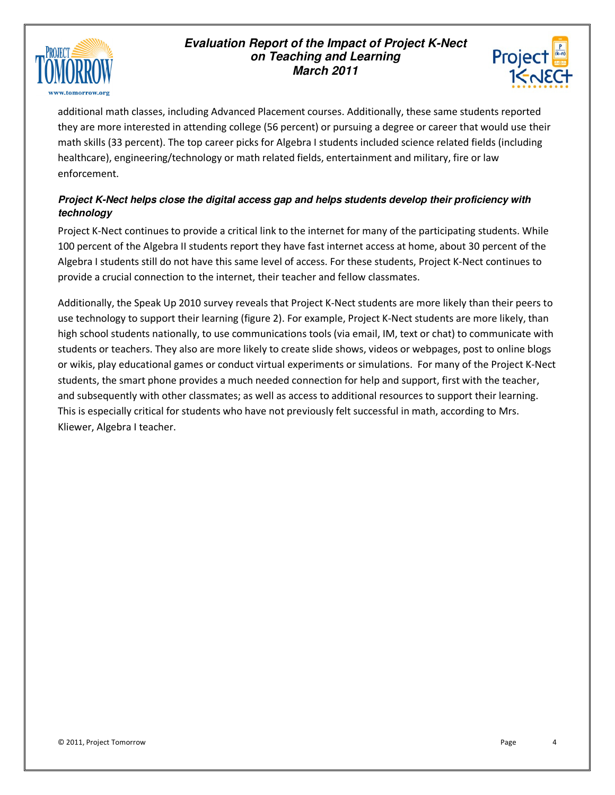

additional math classes, including Advanced Placement courses. Additionally, these same students reported they are more interested in attending college (56 percent) or pursuing a degree or career that would use their math skills (33 percent). The top career picks for Algebra I students included science related fields (including healthcare), engineering/technology or math related fields, entertainment and military, fire or law enforcement.

### **Project K-Nect helps close the digital access gap and helps students develop their proficiency with technology**

Project K-Nect continues to provide a critical link to the internet for many of the participating students. While 100 percent of the Algebra II students report they have fast internet access at home, about 30 percent of the Algebra I students still do not have this same level of access. For these students, Project K-Nect continues to provide a crucial connection to the internet, their teacher and fellow classmates.

Additionally, the Speak Up 2010 survey reveals that Project K-Nect students are more likely than their peers to use technology to support their learning (figure 2). For example, Project K-Nect students are more likely, than high school students nationally, to use communications tools (via email, IM, text or chat) to communicate with students or teachers. They also are more likely to create slide shows, videos or webpages, post to online blogs or wikis, play educational games or conduct virtual experiments or simulations. For many of the Project K-Nect students, the smart phone provides a much needed connection for help and support, first with the teacher, and subsequently with other classmates; as well as access to additional resources to support their learning. This is especially critical for students who have not previously felt successful in math, according to Mrs. Kliewer, Algebra I teacher.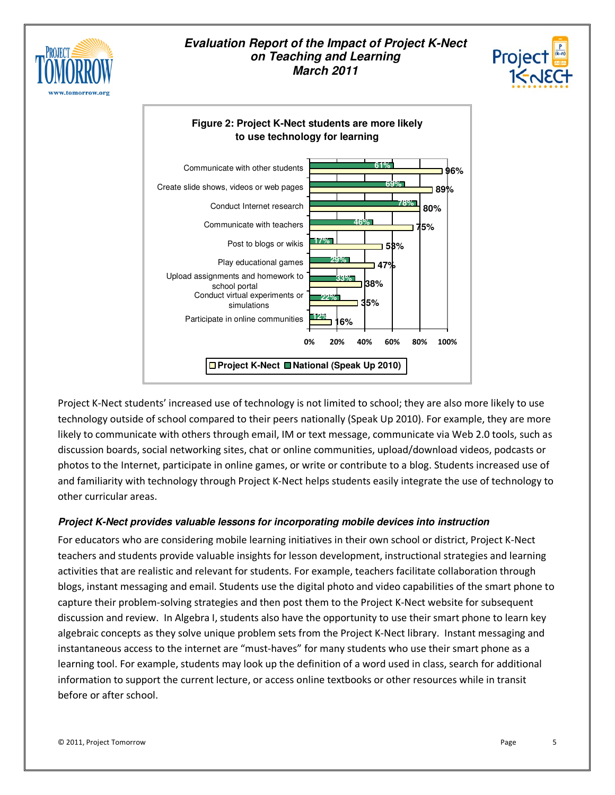

Project K-Nect students' increased use of technology is not limited to school; they are also more likely to use technology outside of school compared to their peers nationally (Speak Up 2010). For example, they are more likely to communicate with others through email, IM or text message, communicate via Web 2.0 tools, such as discussion boards, social networking sites, chat or online communities, upload/download videos, podcasts or photos to the Internet, participate in online games, or write or contribute to a blog. Students increased use of and familiarity with technology through Project K-Nect helps students easily integrate the use of technology to other curricular areas.

#### **Project K-Nect provides valuable lessons for incorporating mobile devices into instruction**

For educators who are considering mobile learning initiatives in their own school or district, Project K-Nect teachers and students provide valuable insights for lesson development, instructional strategies and learning activities that are realistic and relevant for students. For example, teachers facilitate collaboration through blogs, instant messaging and email. Students use the digital photo and video capabilities of the smart phone to capture their problem-solving strategies and then post them to the Project K-Nect website for subsequent discussion and review. In Algebra I, students also have the opportunity to use their smart phone to learn key algebraic concepts as they solve unique problem sets from the Project K-Nect library. Instant messaging and instantaneous access to the internet are "must-haves" for many students who use their smart phone as a learning tool. For example, students may look up the definition of a word used in class, search for additional information to support the current lecture, or access online textbooks or other resources while in transit before or after school.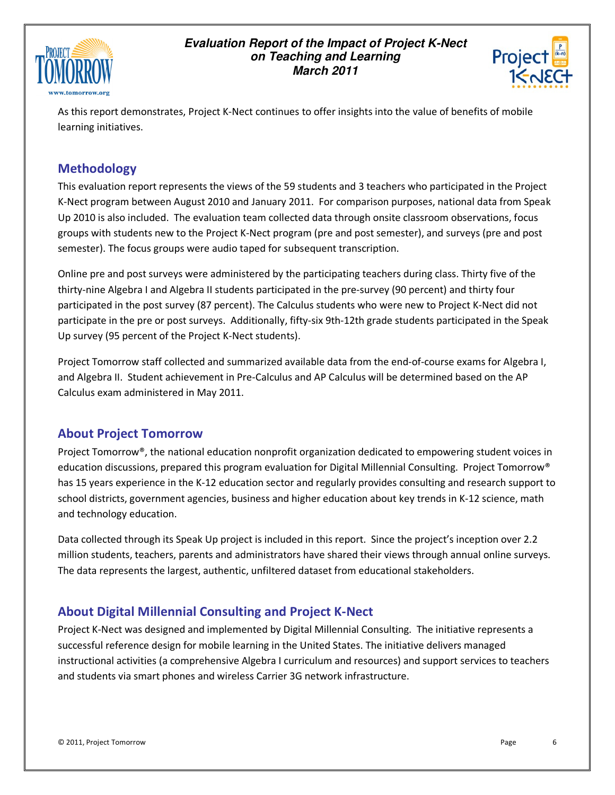



As this report demonstrates, Project K-Nect continues to offer insights into the value of benefits of mobile learning initiatives.

# **Methodology**

This evaluation report represents the views of the 59 students and 3 teachers who participated in the Project K-Nect program between August 2010 and January 2011. For comparison purposes, national data from Speak Up 2010 is also included. The evaluation team collected data through onsite classroom observations, focus groups with students new to the Project K-Nect program (pre and post semester), and surveys (pre and post semester). The focus groups were audio taped for subsequent transcription.

Online pre and post surveys were administered by the participating teachers during class. Thirty five of the thirty-nine Algebra I and Algebra II students participated in the pre-survey (90 percent) and thirty four participated in the post survey (87 percent). The Calculus students who were new to Project K-Nect did not participate in the pre or post surveys. Additionally, fifty-six 9th-12th grade students participated in the Speak Up survey (95 percent of the Project K-Nect students).

Project Tomorrow staff collected and summarized available data from the end-of-course exams for Algebra I, and Algebra II. Student achievement in Pre-Calculus and AP Calculus will be determined based on the AP Calculus exam administered in May 2011.

# **About Project Tomorrow**

Project Tomorrow®, the national education nonprofit organization dedicated to empowering student voices in education discussions, prepared this program evaluation for Digital Millennial Consulting. Project Tomorrow® has 15 years experience in the K-12 education sector and regularly provides consulting and research support to school districts, government agencies, business and higher education about key trends in K-12 science, math and technology education.

Data collected through its Speak Up project is included in this report. Since the project's inception over 2.2 million students, teachers, parents and administrators have shared their views through annual online surveys. The data represents the largest, authentic, unfiltered dataset from educational stakeholders.

# **About Digital Millennial Consulting and Project K-Nect**

Project K-Nect was designed and implemented by Digital Millennial Consulting. The initiative represents a successful reference design for mobile learning in the United States. The initiative delivers managed instructional activities (a comprehensive Algebra I curriculum and resources) and support services to teachers and students via smart phones and wireless Carrier 3G network infrastructure.